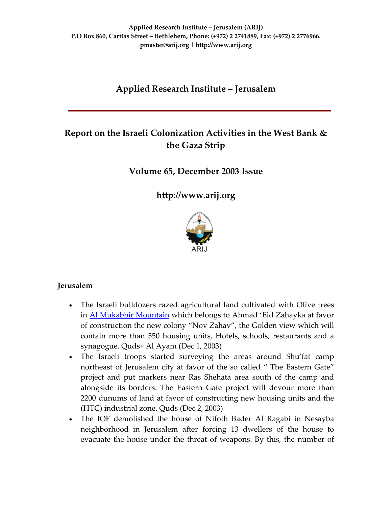# **Applied Research Institute – Jerusalem**

# **Report on the Israeli Colonization Activities in the West Bank & the Gaza Strip**

## **Volume 65, December 2003 Issue**

**[http://www.arij.org](http://www.arij.org/)**



### **Jerusalem**

- The Israeli bulldozers razed agricultural land cultivated with Olive trees in Al [Mukabbir](http://www.poica.org/editor/case_studies/view.php?recordID=325) Mountain which belongs to Ahmad 'Eid Zahayka at favor of construction the new colony "Nov Zahav", the Golden view which will contain more than 550 housing units, Hotels, schools, restaurants and a synagogue. Quds+ Al Ayam (Dec 1, 2003)
- The Israeli troops started surveying the areas around Shu'fat camp northeast of Jerusalem city at favor of the so called " The Eastern Gate" project and put markers near Ras Shehata area south of the camp and alongside its borders. The Eastern Gate project will devour more than 2200 dunums of land at favor of constructing new housing units and the (HTC) industrial zone. Quds (Dec 2, 2003)
- The IOF demolished the house of Nifoth Bader Al Ragabi in Nesayba neighborhood in Jerusalem after forcing 13 dwellers of the house to evacuate the house under the threat of weapons. By this, the number of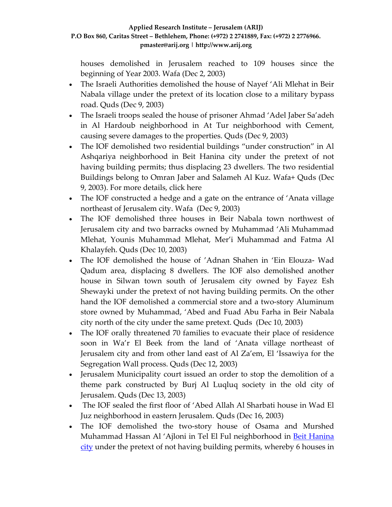houses demolished in Jerusalem reached to 109 houses since the beginning of Year 2003. Wafa (Dec 2, 2003)

- The Israeli Authorities demolished the house of Nayef 'Ali Mlehat in Beir Nabala village under the pretext of its location close to a military bypass road. Quds (Dec 9, 2003)
- The Israeli troops sealed the house of prisoner Ahmad 'Adel Jaber Sa'adeh in Al Hardoub neighborhood in At Tur neighborhood with Cement, causing severe damages to the properties. Quds (Dec 9, 2003)
- The IOF demolished two residential buildings "under construction" in Al Ashqariya neighborhood in Beit Hanina city under the pretext of not having building permits; thus displacing 23 dwellers. The two residential Buildings belong to Omran Jaber and Salameh Al Kuz. Wafa+ Quds (Dec 9, 2003). For more details, click here
- The IOF constructed a hedge and a gate on the entrance of 'Anata village northeast of Jerusalem city. Wafa (Dec 9, 2003)
- The IOF demolished three houses in Beir Nabala town northwest of Jerusalem city and two barracks owned by Muhammad 'Ali Muhammad Mlehat, Younis Muhammad Mlehat, Mer'i Muhammad and Fatma Al Khalayfeh. Quds (Dec 10, 2003)
- The IOF demolished the house of 'Adnan Shahen in 'Ein Elouza‐ Wad Qadum area, displacing 8 dwellers. The IOF also demolished another house in Silwan town south of Jerusalem city owned by Fayez Esh Shewayki under the pretext of not having building permits. On the other hand the IOF demolished a commercial store and a two‐story Aluminum store owned by Muhammad, 'Abed and Fuad Abu Farha in Beir Nabala city north of the city under the same pretext. Quds (Dec 10, 2003)
- The IOF orally threatened 70 families to evacuate their place of residence soon in Wa'r El Beek from the land of 'Anata village northeast of Jerusalem city and from other land east of Al Za'em, El 'Issawiya for the Segregation Wall process. Quds (Dec 12, 2003)
- Jerusalem Municipality court issued an order to stop the demolition of a theme park constructed by Burj Al Luqluq society in the old city of Jerusalem. Quds (Dec 13, 2003)
- The IOF sealed the first floor of 'Abed Allah Al Sharbati house in Wad El Juz neighborhood in eastern Jerusalem. Quds (Dec 16, 2003)
- The IOF demolished the two-story house of Osama and Murshed Muhammad Hassan Al 'Ajloni in Tel El Ful neighborhood in Beit [Hanina](http://www.poica.org/editor/case_studies/view.php?recordID=293) [city](http://www.poica.org/editor/case_studies/view.php?recordID=293) under the pretext of not having building permits, whereby 6 houses in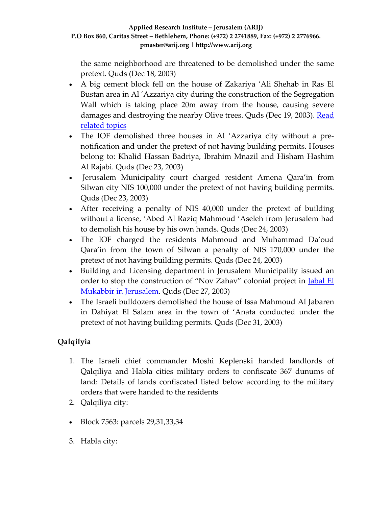the same neighborhood are threatened to be demolished under the same pretext. Quds (Dec 18, 2003)

- A big cement block fell on the house of Zakariya 'Ali Shehab in Ras El Bustan area in Al 'Azzariya city during the construction of the Segregation Wall which is taking place 20m away from the house, causing severe damages and destroying the nearby Olive trees. Quds (Dec 19, 2003). [Read](http://www.poica.org/editor/case_studies/view.php?recordID=293) [related](http://www.poica.org/editor/case_studies/view.php?recordID=293) topics
- The IOF demolished three houses in Al 'Azzariya city without a prenotification and under the pretext of not having building permits. Houses belong to: Khalid Hassan Badriya, Ibrahim Mnazil and Hisham Hashim Al Rajabi. Quds (Dec 23, 2003)
- Jerusalem Municipality court charged resident Amena Qara'in from Silwan city NIS 100,000 under the pretext of not having building permits. Quds (Dec 23, 2003)
- After receiving a penalty of NIS 40,000 under the pretext of building without a license, 'Abed Al Raziq Mahmoud 'Aseleh from Jerusalem had to demolish his house by his own hands. Quds (Dec 24, 2003)
- The IOF charged the residents Mahmoud and Muhammad Da'oud Qara'in from the town of Silwan a penalty of NIS 170,000 under the pretext of not having building permits. Quds (Dec 24, 2003)
- Building and Licensing department in Jerusalem Municipality issued an order to stop the construction of "Nov Zahav" colonial project in **[Jabal](http://www.poica.org/editor/case_studies/view.php?recordID=325) El** [Mukabbir](http://www.poica.org/editor/case_studies/view.php?recordID=325) in Jerusalem. Quds (Dec 27, 2003)
- The Israeli bulldozers demolished the house of Issa Mahmoud Al Jabaren in Dahiyat El Salam area in the town of 'Anata conducted under the pretext of not having building permits. Quds (Dec 31, 2003)

# **Qalqilyia**

- 1. The Israeli chief commander Moshi Keplenski handed landlords of Qalqiliya and Habla cities military orders to confiscate 367 dunums of land: Details of lands confiscated listed below according to the military orders that were handed to the residents
- 2. Qalqiliya city:
- Block 7563: parcels 29,31,33,34
- 3. Habla city: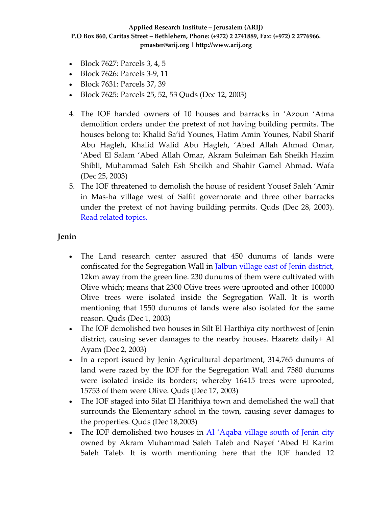- Block 7627: Parcels 3, 4, 5
- Block 7626: Parcels 3-9, 11
- Block 7631: Parcels 37, 39
- Block 7625: Parcels 25, 52, 53 Quds (Dec 12, 2003)
- 4. The IOF handed owners of 10 houses and barracks in 'Azoun 'Atma demolition orders under the pretext of not having building permits. The houses belong to: Khalid Sa'id Younes, Hatim Amin Younes, Nabil Sharif Abu Hagleh, Khalid Walid Abu Hagleh, 'Abed Allah Ahmad Omar, 'Abed El Salam 'Abed Allah Omar, Akram Suleiman Esh Sheikh Hazim Shibli, Muhammad Saleh Esh Sheikh and Shahir Gamel Ahmad. Wafa (Dec 25, 2003)
- 5. The IOF threatened to demolish the house of resident Yousef Saleh 'Amir in Mas‐ha village west of Salfit governorate and three other barracks under the pretext of not having building permits. Quds (Dec 28, 2003). Read [related](http://www.poica.org/editor/case_studies/view.php?recordID=300) topics.

### **Jenin**

- The Land research center assured that 450 dunums of lands were confiscated for the Segregation Wall in Jalbun village east of Jenin [district,](http://www.poica.org/editor/case_studies/view.php?recordID=304) 12km away from the green line. 230 dunums of them were cultivated with Olive which; means that 2300 Olive trees were uprooted and other 100000 Olive trees were isolated inside the Segregation Wall. It is worth mentioning that 1550 dunums of lands were also isolated for the same reason. Quds (Dec 1, 2003)
- The IOF demolished two houses in Silt El Harthiya city northwest of Jenin district, causing sever damages to the nearby houses. Haaretz daily+  $\overline{Al}$ Ayam (Dec 2, 2003)
- In a report issued by Jenin Agricultural department, 314,765 dunums of land were razed by the IOF for the Segregation Wall and 7580 dunums were isolated inside its borders; whereby 16415 trees were uprooted, 15753 of them were Olive. Quds (Dec 17, 2003)
- The IOF staged into Silat El Harithiya town and demolished the wall that surrounds the Elementary school in the town, causing sever damages to the properties. Quds (Dec 18,2003)
- The IOF demolished two houses in <u>Al ['Aqaba](http://www.poica.org/editor/case_studies/view.php?recordID=315) village south of Jenin city</u> owned by Akram Muhammad Saleh Taleb and Nayef 'Abed El Karim Saleh Taleb. It is worth mentioning here that the IOF handed 12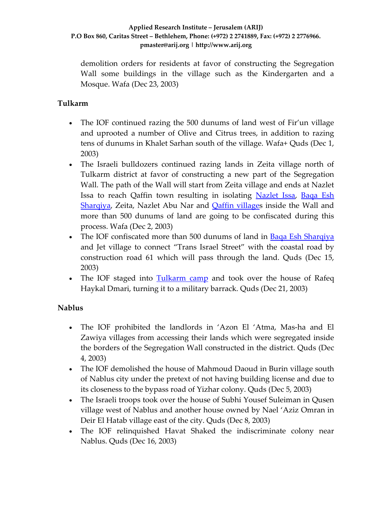demolition orders for residents at favor of constructing the Segregation Wall some buildings in the village such as the Kindergarten and a Mosque. Wafa (Dec 23, 2003)

## **Tulkarm**

- The IOF continued razing the 500 dunums of land west of Fir'un village and uprooted a number of Olive and Citrus trees, in addition to razing tens of dunums in Khalet Sarhan south of the village. Wafa+ Quds (Dec 1, 2003)
- The Israeli bulldozers continued razing lands in Zeita village north of Tulkarm district at favor of constructing a new part of the Segregation Wall. The path of the Wall will start from Zeita village and ends at Nazlet Issa to reach Qaffin town resulting in isolating [Nazlet](http://www.poica.org/editor/case_studies/view.php?recordID=214) Issa, [Baqa](http://www.poica.org/editor/case_studies/view.php?recordID=284) Esh [Sharqiya,](http://www.poica.org/editor/case_studies/view.php?recordID=284) Zeita, Nazlet Abu Nar and **Qaffin [village](http://www.poica.org/editor/case_studies/view.php?recordID=282)s** inside the Wall and more than 500 dunums of land are going to be confiscated during this process. Wafa (Dec 2, 2003)
- The IOF confiscated more than 500 dunums of land in Baqa Esh [Sharqiya](http://www.poica.org/editor/case_studies/view.php?recordID=284) and Jet village to connect "Trans Israel Street" with the coastal road by construction road 61 which will pass through the land. Quds (Dec 15, 2003)
- The IOF staged into [Tulkarm](http://www.poica.org/editor/case_studies/view.php?recordID=262) camp and took over the house of Rafeq Haykal Dmari, turning it to a military barrack. Quds (Dec 21, 2003)

## **Nablus**

- The IOF prohibited the landlords in 'Azon El 'Atma, Mas‐ha and El Zawiya villages from accessing their lands which were segregated inside the borders of the Segregation Wall constructed in the district. Quds (Dec 4, 2003)
- The IOF demolished the house of Mahmoud Daoud in Burin village south of Nablus city under the pretext of not having building license and due to its closeness to the bypass road of Yizhar colony. Quds (Dec 5, 2003)
- The Israeli troops took over the house of Subhi Yousef Suleiman in Qusen village west of Nablus and another house owned by Nael 'Aziz Omran in Deir El Hatab village east of the city. Quds (Dec 8, 2003)
- The IOF relinquished Havat Shaked the indiscriminate colony near Nablus. Quds (Dec 16, 2003)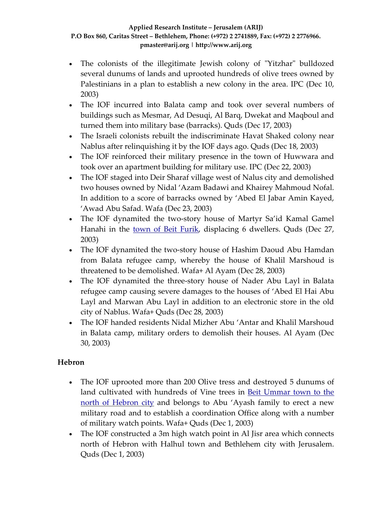- The colonists of the illegitimate Jewish colony of "Yitzhar" bulldozed several dunums of lands and uprooted hundreds of olive trees owned by Palestinians in a plan to establish a new colony in the area. IPC (Dec 10, 2003)
- The IOF incurred into Balata camp and took over several numbers of buildings such as Mesmar, Ad Desuqi, Al Barq, Dwekat and Maqboul and turned them into military base (barracks). Quds (Dec 17, 2003)
- The Israeli colonists rebuilt the indiscriminate Havat Shaked colony near Nablus after relinquishing it by the IOF days ago. Quds (Dec 18, 2003)
- The IOF reinforced their military presence in the town of Huwwara and took over an apartment building for military use. IPC (Dec 22, 2003)
- The IOF staged into Deir Sharaf village west of Nalus city and demolished two houses owned by Nidal 'Azam Badawi and Khairey Mahmoud Nofal. In addition to a score of barracks owned by 'Abed El Jabar Amin Kayed, 'Awad Abu Safad. Wafa (Dec 23, 2003)
- The IOF dynamited the two-story house of Martyr Sa'id Kamal Gamel Hanahi in the town of Beit [Furik](http://www.poica.org/editor/case_studies/view.php?recordID=158), displacing 6 dwellers. Quds (Dec 27, 2003)
- The IOF dynamited the two-story house of Hashim Daoud Abu Hamdan from Balata refugee camp, whereby the house of Khalil Marshoud is threatened to be demolished. Wafa+ Al Ayam (Dec 28, 2003)
- The IOF dynamited the three-story house of Nader Abu Layl in Balata refugee camp causing severe damages to the houses of 'Abed El Hai Abu Layl and Marwan Abu Layl in addition to an electronic store in the old city of Nablus. Wafa+ Quds (Dec 28, 2003)
- The IOF handed residents Nidal Mizher Abu 'Antar and Khalil Marshoud in Balata camp, military orders to demolish their houses. Al Ayam (Dec 30, 2003)

# **Hebron**

- The IOF uprooted more than 200 Olive tress and destroyed 5 dunums of land cultivated with hundreds of Vine trees in **Beit [Ummar](http://www.poica.org/editor/case_studies/view.php?recordID=324) town to the** north of [Hebron](http://www.poica.org/editor/case_studies/view.php?recordID=324) city and belongs to Abu 'Ayash family to erect a new military road and to establish a coordination Office along with a number of military watch points. Wafa+ Quds (Dec 1, 2003)
- The IOF constructed a 3m high watch point in Al Jisr area which connects north of Hebron with Halhul town and Bethlehem city with Jerusalem. Quds (Dec 1, 2003)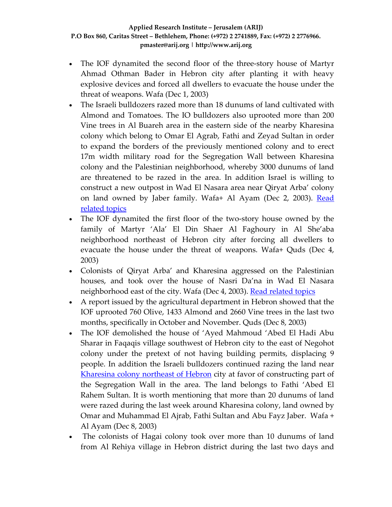- The IOF dynamited the second floor of the three-story house of Martyr Ahmad Othman Bader in Hebron city after planting it with heavy explosive devices and forced all dwellers to evacuate the house under the threat of weapons. Wafa (Dec 1, 2003)
- The Israeli bulldozers razed more than 18 dunums of land cultivated with Almond and Tomatoes. The IO bulldozers also uprooted more than 200 Vine trees in Al Buareh area in the eastern side of the nearby Kharesina colony which belong to Omar El Agrab, Fathi and Zeyad Sultan in order to expand the borders of the previously mentioned colony and to erect 17m width military road for the Segregation Wall between Kharesina colony and the Palestinian neighborhood, whereby 3000 dunums of land are threatened to be razed in the area. In addition Israel is willing to construct a new outpost in Wad El Nasara area near Qiryat Arba' colony on land owned by Jaber family. Wafa+ Al Ayam (Dec 2, 2003). [Read](http://www.poica.org/editor/case_studies/view.php?recordID=265) [related](http://www.poica.org/editor/case_studies/view.php?recordID=265) topics
- The IOF dynamited the first floor of the two-story house owned by the family of Martyr 'Ala' El Din Shaer Al Faghoury in Al She'aba neighborhood northeast of Hebron city after forcing all dwellers to evacuate the house under the threat of weapons. Wafa+ Quds (Dec 4, 2003)
- Colonists of Qiryat Arba' and Kharesina aggressed on the Palestinian houses, and took over the house of Nasri Da'na in Wad El Nasara neighborhood east of the city. Wafa (Dec 4, 2003). Read [related](http://www.poica.org/editor/case_studies/view.php?recordID=278) topics
- A report issued by the agricultural department in Hebron showed that the IOF uprooted 760 Olive, 1433 Almond and 2660 Vine trees in the last two months, specifically in October and November. Quds (Dec 8, 2003)
- The IOF demolished the house of 'Ayed Mahmoud 'Abed El Hadi Abu Sharar in Faqaqis village southwest of Hebron city to the east of Negohot colony under the pretext of not having building permits, displacing 9 people. In addition the Israeli bulldozers continued razing the land near [Kharesina](http://www.poica.org/editor/case_studies/view.php?recordID=317) colony northeast of Hebron city at favor of constructing part of the Segregation Wall in the area. The land belongs to Fathi 'Abed El Rahem Sultan. It is worth mentioning that more than 20 dunums of land were razed during the last week around Kharesina colony, land owned by Omar and Muhammad El Ajrab, Fathi Sultan and Abu Fayz Jaber. Wafa + Al Ayam (Dec 8, 2003)
- The colonists of Hagai colony took over more than 10 dunums of land from Al Rehiya village in Hebron district during the last two days and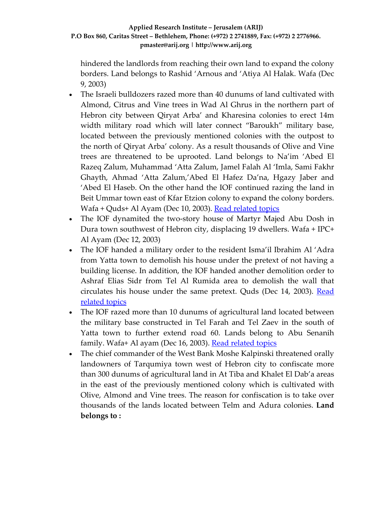hindered the landlords from reaching their own land to expand the colony borders. Land belongs to Rashid 'Arnous and 'Atiya Al Halak. Wafa (Dec 9, 2003)

- The Israeli bulldozers razed more than 40 dunums of land cultivated with Almond, Citrus and Vine trees in Wad Al Ghrus in the northern part of Hebron city between Qiryat Arba' and Kharesina colonies to erect 14m width military road which will later connect "Baroukh" military base, located between the previously mentioned colonies with the outpost to the north of Qiryat Arba' colony. As a result thousands of Olive and Vine trees are threatened to be uprooted. Land belongs to Na'im 'Abed El Razeq Zalum, Muhammad 'Atta Zalum, Jamel Falah Al 'Imla, Sami Fakhr Ghayth, Ahmad 'Atta Zalum,'Abed El Hafez Da'na, Hgazy Jaber and 'Abed El Haseb. On the other hand the IOF continued razing the land in Beit Ummar town east of Kfar Etzion colony to expand the colony borders. Wafa + Quds+ Al Ayam (Dec 10, 2003). Read [related](http://www.poica.org/editor/case_studies/view.php?recordID=265) topics
- The IOF dynamited the two-story house of Martyr Majed Abu Dosh in Dura town southwest of Hebron city, displacing 19 dwellers. Wafa + IPC+ Al Ayam (Dec 12, 2003)
- The IOF handed a military order to the resident Isma'il Ibrahim Al 'Adra from Yatta town to demolish his house under the pretext of not having a building license. In addition, the IOF handed another demolition order to Ashraf Elias Sidr from Tel Al Rumida area to demolish the wall that circulates his house under the same pretext. Quds (Dec 14, 2003). [Read](http://www.poica.org/editor/case_studies/view.php?recordID=102) [related](http://www.poica.org/editor/case_studies/view.php?recordID=102) topics
- The IOF razed more than 10 dunums of agricultural land located between the military base constructed in Tel Farah and Tel Zaev in the south of Yatta town to further extend road 60. Lands belong to Abu Senanih family. Wafa+ Al ayam (Dec 16, 2003). Read [related](http://www.poica.org/editor/case_studies/view.php?recordID=102) topics
- The chief commander of the West Bank Moshe Kalpinski threatened orally landowners of Tarqumiya town west of Hebron city to confiscate more than 300 dunums of agricultural land in At Tiba and Khalet El Dab'a areas in the east of the previously mentioned colony which is cultivated with Olive, Almond and Vine trees. The reason for confiscation is to take over thousands of the lands located between Telm and Adura colonies. **Land belongs to :**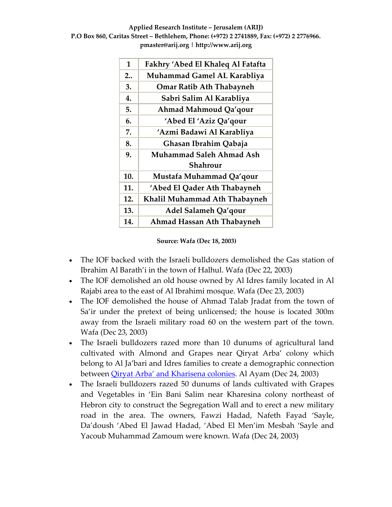| $\mathbf{1}$ | Fakhry 'Abed El Khaleq Al Fatafta |
|--------------|-----------------------------------|
| 2            | Muhammad Gamel AL Karabliya       |
| 3.           | <b>Omar Ratib Ath Thabayneh</b>   |
| 4.           | Sabri Salim Al Karabliya          |
| 5.           | Ahmad Mahmoud Qa'qour             |
| 6.           | 'Abed El 'Aziz Qa'qour            |
| 7.           | 'Azmi Badawi Al Karabliya         |
| 8.           | Ghasan Ibrahim Qabaja             |
| 9.           | Muhammad Saleh Ahmad Ash          |
|              | Shahrour                          |
| 10.          | Mustafa Muhammad Qa'qour          |
| 11.          | 'Abed El Qader Ath Thabayneh      |
| 12.          | Khalil Muhammad Ath Thabayneh     |
| 13.          | Adel Salameh Qa'qour              |
| 14.          | Ahmad Hassan Ath Thabayneh        |
|              |                                   |

**Source: Wafa (Dec 18, 2003)**

- The IOF backed with the Israeli bulldozers demolished the Gas station of Ibrahim Al Barath'i in the town of Halhul. Wafa (Dec 22, 2003)
- The IOF demolished an old house owned by Al Idres family located in Al Rajabi area to the east of Al Ibrahimi mosque. Wafa (Dec 23, 2003)
- The IOF demolished the house of Ahmad Talab Jradat from the town of Sa'ir under the pretext of being unlicensed; the house is located 300m away from the Israeli military road 60 on the western part of the town. Wafa (Dec 23, 2003)
- The Israeli bulldozers razed more than 10 dunums of agricultural land cultivated with Almond and Grapes near Qiryat Arba' colony which belong to Al Ja'bari and Idres families to create a demographic connection between Qiryat Arba' and [Kharisena](http://www.poica.org/editor/case_studies/view.php?recordID=243) colonies. Al Ayam (Dec 24, 2003)
- The Israeli bulldozers razed 50 dunums of lands cultivated with Grapes and Vegetables in 'Ein Bani Salim near Kharesina colony northeast of Hebron city to construct the Segregation Wall and to erect a new military road in the area. The owners, Fawzi Hadad, Nafeth Fayad 'Sayle, Da'doush 'Abed El Jawad Hadad, 'Abed El Men'im Mesbah 'Sayle and Yacoub Muhammad Zamoum were known. Wafa (Dec 24, 2003)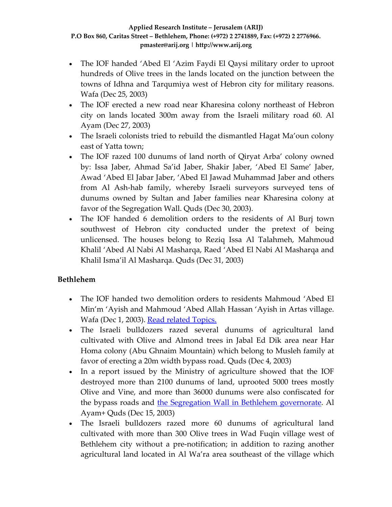- The IOF handed 'Abed El 'Azim Faydi El Qaysi military order to uproot hundreds of Olive trees in the lands located on the junction between the towns of Idhna and Tarqumiya west of Hebron city for military reasons. Wafa (Dec 25, 2003)
- The IOF erected a new road near Kharesina colony northeast of Hebron city on lands located 300m away from the Israeli military road 60. Al Ayam (Dec 27, 2003)
- The Israeli colonists tried to rebuild the dismantled Hagat Ma'oun colony east of Yatta town;
- The IOF razed 100 dunums of land north of Qiryat Arba' colony owned by: Issa Jaber, Ahmad Sa'id Jaber, Shakir Jaber, 'Abed El Same' Jaber, Awad 'Abed El Jabar Jaber, 'Abed El Jawad Muhammad Jaber and others from Al Ash-hab family, whereby Israeli surveyors surveyed tens of dunums owned by Sultan and Jaber families near Kharesina colony at favor of the Segregation Wall. Quds (Dec 30, 2003).
- The IOF handed 6 demolition orders to the residents of Al Burj town southwest of Hebron city conducted under the pretext of being unlicensed. The houses belong to Reziq Issa Al Talahmeh, Mahmoud Khalil 'Abed Al Nabi Al Masharqa, Raed 'Abed El Nabi Al Masharqa and Khalil Isma'il Al Masharqa. Quds (Dec 31, 2003)

## **Bethlehem**

- The IOF handed two demolition orders to residents Mahmoud 'Abed El Min'm 'Ayish and Mahmoud 'Abed Allah Hassan 'Ayish in Artas village. Wafa (Dec 1, 2003). Read related [Topics.](http://www.poica.org/editor/case_studies/view.php?recordID=217)
- The Israeli bulldozers razed several dunums of agricultural land cultivated with Olive and Almond trees in Jabal Ed Dik area near Har Homa colony (Abu Ghnaim Mountain) which belong to Musleh family at favor of erecting a 20m width bypass road. Quds (Dec 4, 2003)
- In a report issued by the Ministry of agriculture showed that the IOF destroyed more than 2100 dunums of land, uprooted 5000 trees mostly Olive and Vine, and more than 36000 dunums were also confiscated for the bypass roads and the Segregation Wall in Bethlehem [governorate](http://www.poica.org/editor/case_studies/view.php?recordID=327). Al Ayam+ Quds (Dec 15, 2003)
- The Israeli bulldozers razed more 60 dunums of agricultural land cultivated with more than 300 Olive trees in Wad Fuqin village west of Bethlehem city without a pre‐notification; in addition to razing another agricultural land located in Al Wa'ra area southeast of the village which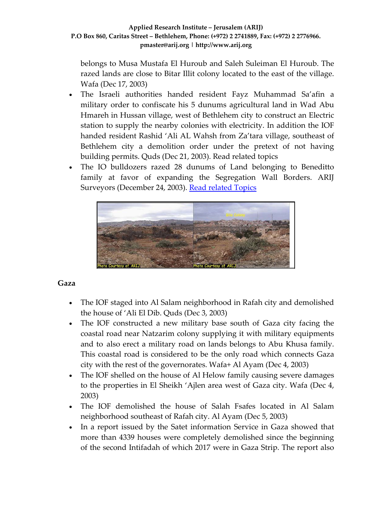belongs to Musa Mustafa El Huroub and Saleh Suleiman El Huroub. The razed lands are close to Bitar Illit colony located to the east of the village. Wafa (Dec 17, 2003)

- The Israeli authorities handed resident Fayz Muhammad Sa'afin a military order to confiscate his 5 dunums agricultural land in Wad Abu Hmareh in Hussan village, west of Bethlehem city to construct an Electric station to supply the nearby colonies with electricity. In addition the IOF handed resident Rashid 'Ali AL Wahsh from Za'tara village, southeast of Bethlehem city a demolition order under the pretext of not having building permits. Quds (Dec 21, 2003). Read related topics
- The IO bulldozers razed 28 dunums of Land belonging to Beneditto family at favor of expanding the Segregation Wall Borders. ARIJ Surveyors (December 24, 2003). Read [related](http://www.poica.org/editor/case_studies/view.php?recordID=327) Topics



### **Gaza**

- The IOF staged into Al Salam neighborhood in Rafah city and demolished the house of 'Ali El Dib. Quds (Dec 3, 2003)
- The IOF constructed a new military base south of Gaza city facing the coastal road near Natzarim colony supplying it with military equipments and to also erect a military road on lands belongs to Abu Khusa family. This coastal road is considered to be the only road which connects Gaza city with the rest of the governorates. Wafa+ Al Ayam (Dec 4, 2003)
- The IOF shelled on the house of Al Helow family causing severe damages to the properties in El Sheikh 'Ajlen area west of Gaza city. Wafa (Dec 4, 2003)
- The IOF demolished the house of Salah Fsafes located in Al Salam neighborhood southeast of Rafah city. Al Ayam (Dec 5, 2003)
- In a report issued by the Satet information Service in Gaza showed that more than 4339 houses were completely demolished since the beginning of the second Intifadah of which 2017 were in Gaza Strip. The report also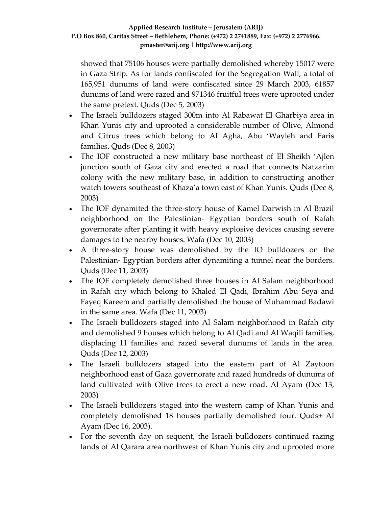showed that 75106 houses were partially demolished whereby 15017 were in Gaza Strip. As for lands confiscated for the Segregation Wall, a total of 165,951 dunums of land were confiscated since 29 March 2003, 61857 dunums of land were razed and 971346 fruitful trees were uprooted under the same pretext. Quds (Dec 5, 2003)

- The Israeli bulldozers staged 300m into Al Rabawat El Gharbiya area in Khan Yunis city and uprooted a considerable number of Olive, Almond and Citrus trees which belong to Al Agha, Abu 'Wayleh and Faris families. Quds (Dec 8, 2003)
- The IOF constructed a new military base northeast of El Sheikh 'Ajlen junction south of Gaza city and erected a road that connects Natzarim colony with the new military base, in addition to constructing another watch towers southeast of Khaza'a town east of Khan Yunis. Quds (Dec 8, 2003)
- The IOF dynamited the three-story house of Kamel Darwish in Al Brazil neighborhood on the Palestinian‐ Egyptian borders south of Rafah governorate after planting it with heavy explosive devices causing severe damages to the nearby houses. Wafa (Dec 10, 2003)
- A three-story house was demolished by the IO bulldozers on the Palestinian‐ Egyptian borders after dynamiting a tunnel near the borders. Quds (Dec 11, 2003)
- The IOF completely demolished three houses in Al Salam neighborhood in Rafah city which belong to Khaled El Qadi, Ibrahim Abu Seya and Fayeq Kareem and partially demolished the house of Muhammad Badawi in the same area. Wafa (Dec 11, 2003)
- The Israeli bulldozers staged into Al Salam neighborhood in Rafah city and demolished 9 houses which belong to Al Qadi and Al Waqili families, displacing 11 families and razed several dunums of lands in the area. Quds (Dec 12, 2003)
- The Israeli bulldozers staged into the eastern part of Al Zaytoon neighborhood east of Gaza governorate and razed hundreds of dunums of land cultivated with Olive trees to erect a new road. Al Ayam (Dec 13, 2003)
- The Israeli bulldozers staged into the western camp of Khan Yunis and completely demolished 18 houses partially demolished four. Quds+ Al Ayam (Dec 16, 2003).
- For the seventh day on sequent, the Israeli bulldozers continued razing lands of Al Qarara area northwest of Khan Yunis city and uprooted more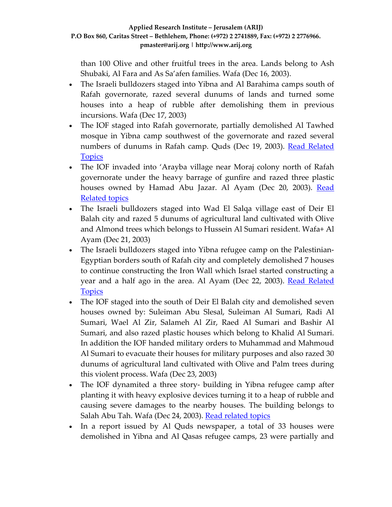than 100 Olive and other fruitful trees in the area. Lands belong to Ash Shubaki, Al Fara and As Sa'afen families. Wafa (Dec 16, 2003).

- The Israeli bulldozers staged into Yibna and Al Barahima camps south of Rafah governorate, razed several dunums of lands and turned some houses into a heap of rubble after demolishing them in previous incursions. Wafa (Dec 17, 2003)
- The IOF staged into Rafah governorate, partially demolished Al Tawhed mosque in Yibna camp southwest of the governorate and razed several numbers of dunums in Rafah camp. Quds (Dec 19, 2003). Read [Related](http://www.poica.org/editor/case_studies/view.php?recordID=307) **[Topics](http://www.poica.org/editor/case_studies/view.php?recordID=307)**
- The IOF invaded into 'Arayba village near Moraj colony north of Rafah governorate under the heavy barrage of gunfire and razed three plastic houses owned by Hamad Abu Jazar. Al Ayam (Dec 20, 2003). [Read](http://www.arij.org/index.php?option=com_content&task=view&id=212&Itemid=26&lang=en) [Related](http://www.arij.org/index.php?option=com_content&task=view&id=212&Itemid=26&lang=en) topics
- The Israeli bulldozers staged into Wad El Salqa village east of Deir El Balah city and razed 5 dunums of agricultural land cultivated with Olive and Almond trees which belongs to Hussein Al Sumari resident. Wafa+ Al Ayam (Dec 21, 2003)
- The Israeli bulldozers staged into Yibna refugee camp on the Palestinian-Egyptian borders south of Rafah city and completely demolished 7 houses to continue constructing the Iron Wall which Israel started constructing a year and a half ago in the area. Al Ayam (Dec 22, 2003). Read [Related](http://www.poica.org/editor/case_studies/view.php?recordID=307) **[Topics](http://www.poica.org/editor/case_studies/view.php?recordID=307)**
- The IOF staged into the south of Deir El Balah city and demolished seven houses owned by: Suleiman Abu Slesal, Suleiman Al Sumari, Radi Al Sumari, Wael Al Zir, Salameh Al Zir, Raed Al Sumari and Bashir Al Sumari, and also razed plastic houses which belong to Khalid Al Sumari. In addition the IOF handed military orders to Muhammad and Mahmoud Al Sumari to evacuate their houses for military purposes and also razed 30 dunums of agricultural land cultivated with Olive and Palm trees during this violent process. Wafa (Dec 23, 2003)
- The IOF dynamited a three story- building in Yibna refugee camp after planting it with heavy explosive devices turning it to a heap of rubble and causing severe damages to the nearby houses. The building belongs to Salah Abu Tah. Wafa (Dec 24, 2003). Read [related](http://www.poica.org/editor/case_studies/view.php?recordID=307) topics
- In a report issued by Al Quds newspaper, a total of 33 houses were demolished in Yibna and Al Qasas refugee camps, 23 were partially and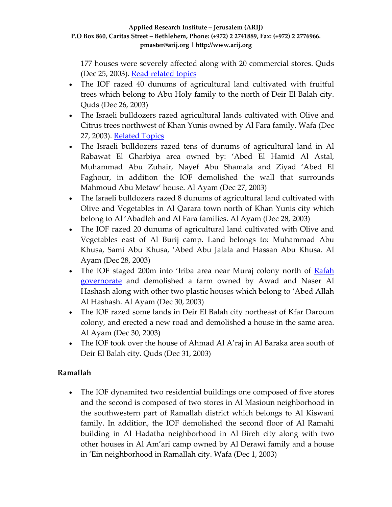177 houses were severely affected along with 20 commercial stores. Quds (Dec 25, 2003). Read [related](http://www.poica.org/editor/case_studies/view.php?recordID=307) topics

- The IOF razed 40 dunums of agricultural land cultivated with fruitful trees which belong to Abu Holy family to the north of Deir El Balah city. Quds (Dec 26, 2003)
- The Israeli bulldozers razed agricultural lands cultivated with Olive and Citrus trees northwest of Khan Yunis owned by Al Fara family. Wafa (Dec 27, 2003). [Related](http://www.arij.org/index.php?option=com_content&task=view&id=212&Itemid=26&lang=en) Topics
- The Israeli bulldozers razed tens of dunums of agricultural land in Al Rabawat El Gharbiya area owned by: 'Abed El Hamid Al Astal, Muhammad Abu Zuhair, Nayef Abu Shamala and Ziyad 'Abed El Faghour, in addition the IOF demolished the wall that surrounds Mahmoud Abu Metaw' house. Al Ayam (Dec 27, 2003)
- The Israeli bulldozers razed 8 dunums of agricultural land cultivated with Olive and Vegetables in Al Qarara town north of Khan Yunis city which belong to Al 'Abadleh and Al Fara families. Al Ayam (Dec 28, 2003)
- The IOF razed 20 dunums of agricultural land cultivated with Olive and Vegetables east of Al Burij camp. Land belongs to: Muhammad Abu Khusa, Sami Abu Khusa, 'Abed Abu Jalala and Hassan Abu Khusa. Al Ayam (Dec 28, 2003)
- The IOF staged 200m into 'Iriba area near Muraj colony north of [Rafah](http://www.poica.org/editor/case_studies/view.php?recordID=307) [governorate](http://www.poica.org/editor/case_studies/view.php?recordID=307) and demolished a farm owned by Awad and Naser Al Hashash along with other two plastic houses which belong to 'Abed Allah Al Hashash. Al Ayam (Dec 30, 2003)
- The IOF razed some lands in Deir El Balah city northeast of Kfar Daroum colony, and erected a new road and demolished a house in the same area. Al Ayam (Dec 30, 2003)
- The IOF took over the house of Ahmad Al A'raj in Al Baraka area south of Deir El Balah city. Quds (Dec 31, 2003)

# **Ramallah**

• The IOF dynamited two residential buildings one composed of five stores and the second is composed of two stores in Al Masioun neighborhood in the southwestern part of Ramallah district which belongs to Al Kiswani family. In addition, the IOF demolished the second floor of Al Ramahi building in Al Hadatha neighborhood in Al Bireh city along with two other houses in Al Am'ari camp owned by Al Derawi family and a house in 'Ein neighborhood in Ramallah city. Wafa (Dec 1, 2003)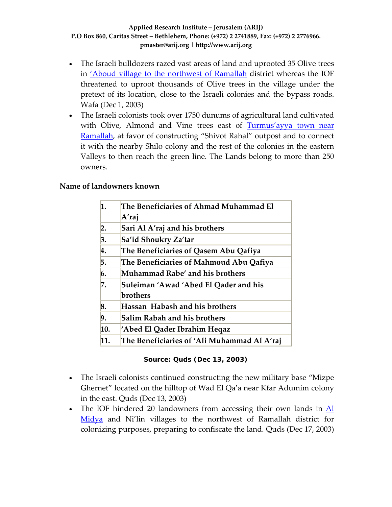- The Israeli bulldozers razed vast areas of land and uprooted 35 Olive trees in 'Aboud village to the [northwest](http://www.poica.org/editor/case_studies/view.php?recordID=326) of Ramallah district whereas the IOF threatened to uproot thousands of Olive trees in the village under the pretext of its location, close to the Israeli colonies and the bypass roads. Wafa (Dec 1, 2003)
- The Israeli colonists took over 1750 dunums of agricultural land cultivated with Olive, Almond and Vine trees east of [Turmus'ayya](http://www.poica.org/editor/case_studies/view.php?recordID=328) town near [Ramallah,](http://www.poica.org/editor/case_studies/view.php?recordID=328) at favor of constructing "Shivot Rahal" outpost and to connect it with the nearby Shilo colony and the rest of the colonies in the eastern Valleys to then reach the green line. The Lands belong to more than 250 owners.

### **Name of landowners known**

| 1.               | The Beneficiaries of Ahmad Muhammad El      |
|------------------|---------------------------------------------|
|                  | A'raj                                       |
| $\overline{2}$ . | Sari Al A'raj and his brothers              |
| 3.               | Sa'id Shoukry Za'tar                        |
| 4.               | The Beneficiaries of Qasem Abu Qafiya       |
| 5.               | The Beneficiaries of Mahmoud Abu Qafiya     |
| 6.               | Muhammad Rabe′ and his brothers             |
| 7.               | Suleiman 'Awad 'Abed El Qader and his       |
|                  | brothers                                    |
| 8.               | Hassan Habash and his brothers              |
| 9.               | Salim Rabah and his brothers                |
| 10.              | 'Abed El Qader Ibrahim Heqaz                |
| 11.              | The Beneficiaries of 'Ali Muhammad Al A'raj |
|                  |                                             |

#### **Source: Quds (Dec 13, 2003)**

- The Israeli colonists continued constructing the new military base "Mizpe" Ghernet" located on the hilltop of Wad El Qa'a near Kfar Adumim colony in the east. Quds (Dec 13, 2003)
- The IOF hindered 20 landowners from accessing their own lands in  $\underline{Al}$  $\underline{Al}$  $\underline{Al}$ [Midya](http://www.poica.org/editor/case_studies/view.php?recordID=285) and Ni'lin villages to the northwest of Ramallah district for colonizing purposes, preparing to confiscate the land. Quds (Dec 17, 2003)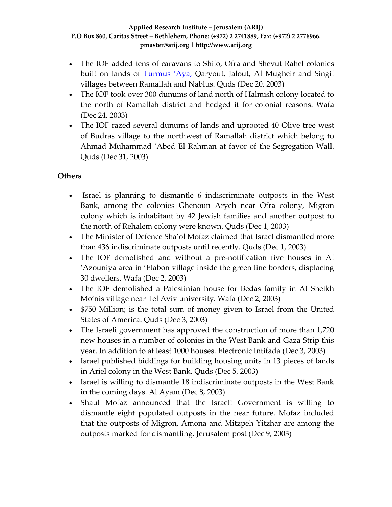- The IOF added tens of caravans to Shilo, Ofra and Shevut Rahel colonies built on lands of [Turmus](http://www.poica.org/editor/case_studies/view.php?recordID=328) 'Aya, Qaryout, Jalout, Al Mugheir and Singil villages between Ramallah and Nablus. Quds (Dec 20, 2003)
- The IOF took over 300 dunums of land north of Halmish colony located to the north of Ramallah district and hedged it for colonial reasons. Wafa (Dec 24, 2003)
- The IOF razed several dunums of lands and uprooted 40 Olive tree west of Budras village to the northwest of Ramallah district which belong to Ahmad Muhammad 'Abed El Rahman at favor of the Segregation Wall. Quds (Dec 31, 2003)

## **Others**

- Israel is planning to dismantle 6 indiscriminate outposts in the West Bank, among the colonies Ghenoun Aryeh near Ofra colony, Migron colony which is inhabitant by 42 Jewish families and another outpost to the north of Rehalem colony were known. Quds (Dec 1, 2003)
- The Minister of Defence Sha'ol Mofaz claimed that Israel dismantled more than 436 indiscriminate outposts until recently. Quds (Dec 1, 2003)
- The IOF demolished and without a pre-notification five houses in Al 'Azouniya area in 'Elabon village inside the green line borders, displacing 30 dwellers. Wafa (Dec 2, 2003)
- The IOF demolished a Palestinian house for Bedas family in Al Sheikh Mo'nis village near Tel Aviv university. Wafa (Dec 2, 2003)
- \$750 Million; is the total sum of money given to Israel from the United States of America. Quds (Dec 3, 2003)
- The Israeli government has approved the construction of more than 1,720 new houses in a number of colonies in the West Bank and Gaza Strip this year. In addition to at least 1000 houses. Electronic Intifada (Dec 3, 2003)
- Israel published biddings for building housing units in 13 pieces of lands in Ariel colony in the West Bank. Quds (Dec 5, 2003)
- Israel is willing to dismantle 18 indiscriminate outposts in the West Bank in the coming days. Al Ayam (Dec 8, 2003)
- Shaul Mofaz announced that the Israeli Government is willing to dismantle eight populated outposts in the near future. Mofaz included that the outposts of Migron, Amona and Mitzpeh Yitzhar are among the outposts marked for dismantling. Jerusalem post (Dec 9, 2003)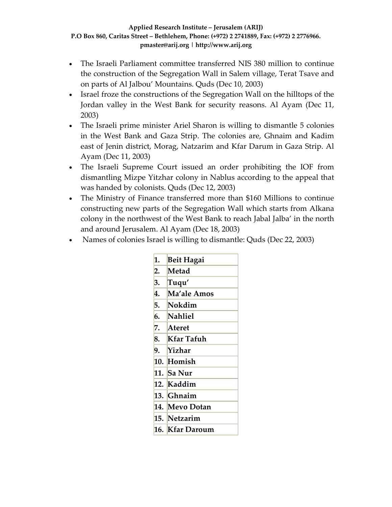- The Israeli Parliament committee transferred NIS 380 million to continue the construction of the Segregation Wall in Salem village, Terat Tsave and on parts of Al Jalbou' Mountains. Quds (Dec 10, 2003)
- Israel froze the constructions of the Segregation Wall on the hilltops of the Jordan valley in the West Bank for security reasons. Al Ayam (Dec 11, 2003)
- The Israeli prime minister Ariel Sharon is willing to dismantle 5 colonies in the West Bank and Gaza Strip. The colonies are, Ghnaim and Kadim east of Jenin district, Morag, Natzarim and Kfar Darum in Gaza Strip. Al Ayam (Dec 11, 2003)
- The Israeli Supreme Court issued an order prohibiting the IOF from dismantling Mizpe Yitzhar colony in Nablus according to the appeal that was handed by colonists. Quds (Dec 12, 2003)
- The Ministry of Finance transferred more than \$160 Millions to continue constructing new parts of the Segregation Wall which starts from Alkana colony in the northwest of the West Bank to reach Jabal Jalba' in the north and around Jerusalem. Al Ayam (Dec 18, 2003)
- Names of colonies Israel is willing to dismantle: Quds (Dec 22, 2003)

| 1.  | Beit Hagai  |
|-----|-------------|
| 2.  | Metad       |
| 3.  | Tuqu'       |
| 4.  | Ma'ale Amos |
| 5.  | Nokdim      |
| 6.  | Nahliel     |
| 7.  | Ateret      |
| 8.  | Kfar Tafuh  |
| 9.  | Yizhar      |
| 10. | Homish      |
| 11. | Sa Nur      |
| 12. | Kaddim      |
| 13. | Ghnaim      |
| 14. | Mevo Dotan  |
| 15. | Netzarim    |
| 16. | Kfar Daroum |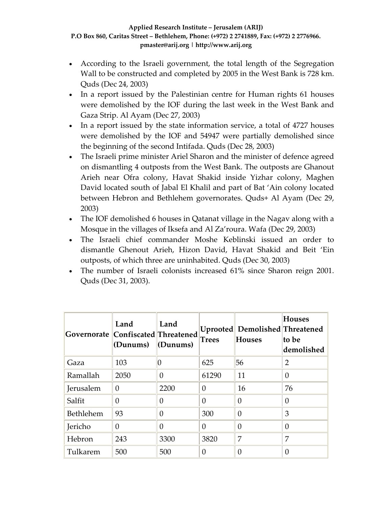- According to the Israeli government, the total length of the Segregation Wall to be constructed and completed by 2005 in the West Bank is 728 km. Quds (Dec 24, 2003)
- In a report issued by the Palestinian centre for Human rights 61 houses were demolished by the IOF during the last week in the West Bank and Gaza Strip. Al Ayam (Dec 27, 2003)
- In a report issued by the state information service, a total of 4727 houses were demolished by the IOF and 54947 were partially demolished since the beginning of the second Intifada. Quds (Dec 28, 2003)
- The Israeli prime minister Ariel Sharon and the minister of defence agreed on dismantling 4 outposts from the West Bank. The outposts are Ghanout Arieh near Ofra colony, Havat Shakid inside Yizhar colony, Maghen David located south of Jabal El Khalil and part of Bat 'Ain colony located between Hebron and Bethlehem governorates. Quds+ Al Ayam (Dec 29, 2003)
- The IOF demolished 6 houses in Qatanat village in the Nagav along with a Mosque in the villages of Iksefa and Al Za'roura. Wafa (Dec 29, 2003)
- The Israeli chief commander Moshe Keblinski issued an order to dismantle Ghenout Arieh, Hizon David, Havat Shakid and Beit 'Ein outposts, of which three are uninhabited. Quds (Dec 30, 2003)
- The number of Israeli colonists increased 61% since Sharon reign 2001. Quds (Dec 31, 2003).

| Governorate Confiscated Threatened | Land<br>(Dunums) | Land<br>$\langle$ Dunums $\rangle$ | Trees    | Uprooted Demolished Threatened<br><b>Houses</b> | <b>Houses</b><br>to be<br>demolished |
|------------------------------------|------------------|------------------------------------|----------|-------------------------------------------------|--------------------------------------|
| Gaza                               | 103              |                                    | 625      | 56                                              | 2                                    |
| Ramallah                           | 2050             | $\Omega$                           | 61290    | 11                                              | 0                                    |
| Jerusalem                          | 0                | 2200                               | 0        | 16                                              | 76                                   |
| Salfit                             | $\theta$         | $\Omega$                           | $\Omega$ | 0                                               | $\Omega$                             |
| Bethlehem                          | 93               | 0                                  | 300      | 0                                               | 3                                    |
| Jericho                            | $\Omega$         | $\Omega$                           | $\Omega$ | $\Omega$                                        | $\Omega$                             |
| Hebron                             | 243              | 3300                               | 3820     | 7                                               | 7                                    |
| Tulkarem                           | 500              | 500                                | 0        | 0                                               |                                      |